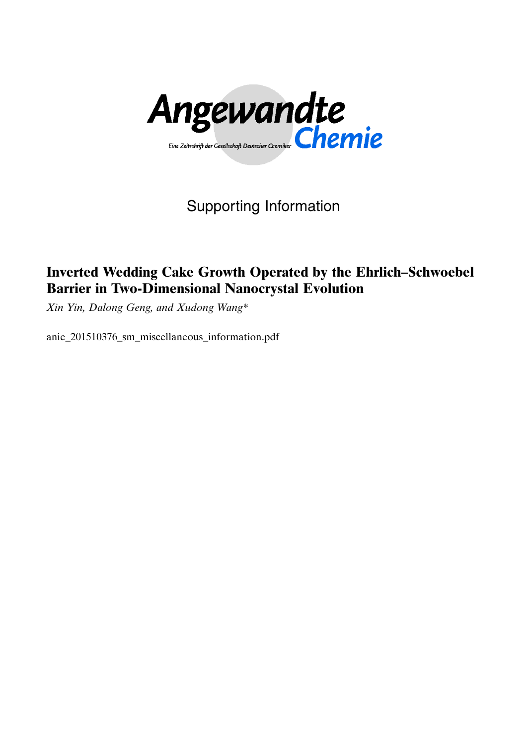

Supporting Information

# Inverted Wedding Cake Growth Operated by the Ehrlich–Schwoebel Barrier in Two-Dimensional Nanocrystal Evolution

Xin Yin, Dalong Geng, and Xudong Wang\*

anie\_201510376\_sm\_miscellaneous\_information.pdf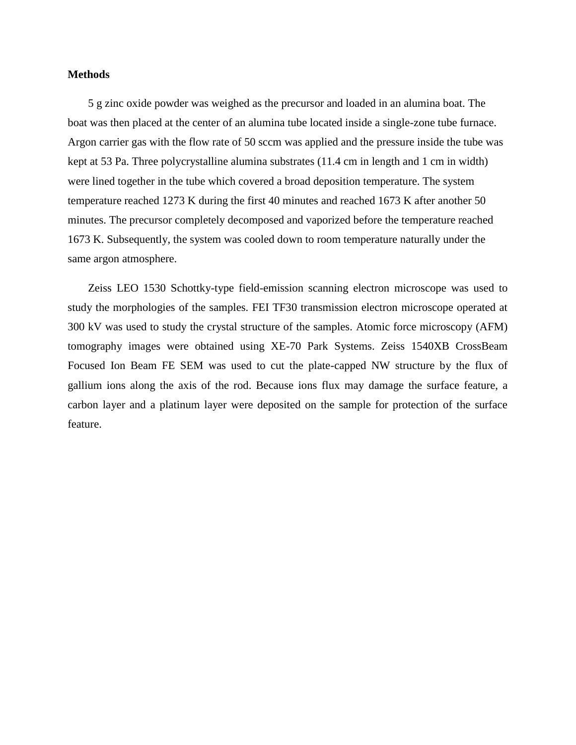#### **Methods**

5 g zinc oxide powder was weighed as the precursor and loaded in an alumina boat. The boat was then placed at the center of an alumina tube located inside a single-zone tube furnace. Argon carrier gas with the flow rate of 50 sccm was applied and the pressure inside the tube was kept at 53 Pa. Three polycrystalline alumina substrates (11.4 cm in length and 1 cm in width) were lined together in the tube which covered a broad deposition temperature. The system temperature reached 1273 K during the first 40 minutes and reached 1673 K after another 50 minutes. The precursor completely decomposed and vaporized before the temperature reached 1673 K. Subsequently, the system was cooled down to room temperature naturally under the same argon atmosphere.

Zeiss LEO 1530 Schottky-type field-emission scanning electron microscope was used to study the morphologies of the samples. FEI TF30 transmission electron microscope operated at 300 kV was used to study the crystal structure of the samples. Atomic force microscopy (AFM) tomography images were obtained using XE-70 Park Systems. Zeiss 1540XB CrossBeam Focused Ion Beam FE SEM was used to cut the plate-capped NW structure by the flux of gallium ions along the axis of the rod. Because ions flux may damage the surface feature, a carbon layer and a platinum layer were deposited on the sample for protection of the surface feature.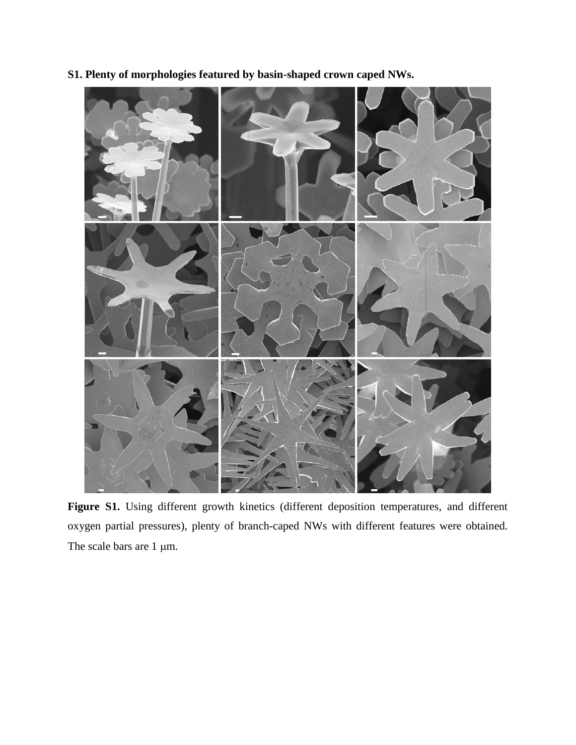

**S1. Plenty of morphologies featured by basin-shaped crown caped NWs.**

**Figure S1.** Using different growth kinetics (different deposition temperatures, and different oxygen partial pressures), plenty of branch-caped NWs with different features were obtained. The scale bars are  $1 \mu m$ .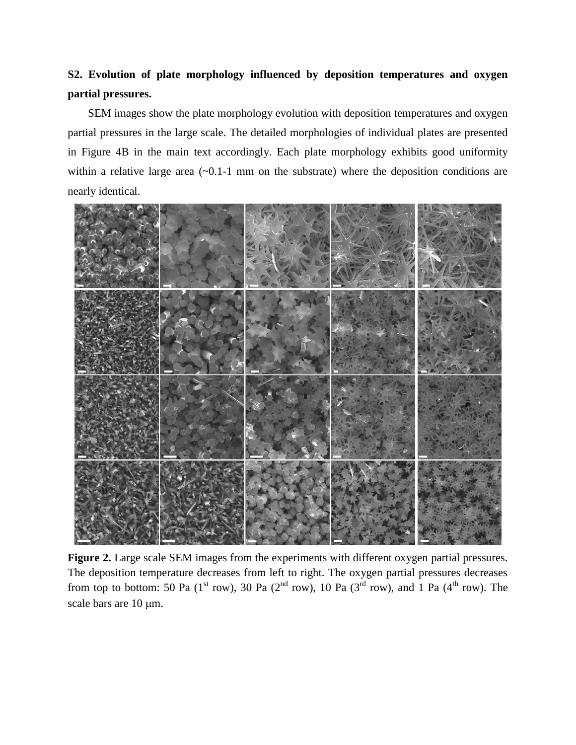## **S2. Evolution of plate morphology influenced by deposition temperatures and oxygen partial pressures.**

SEM images show the plate morphology evolution with deposition temperatures and oxygen partial pressures in the large scale. The detailed morphologies of individual plates are presented in Figure 4B in the main text accordingly. Each plate morphology exhibits good uniformity within a relative large area  $(-0.1-1 \text{ mm on the substrate})$  where the deposition conditions are nearly identical.



**Figure 2.** Large scale SEM images from the experiments with different oxygen partial pressures. The deposition temperature decreases from left to right. The oxygen partial pressures decreases from top to bottom: 50 Pa (1<sup>st</sup> row), 30 Pa (2<sup>nd</sup> row), 10 Pa (3<sup>rd</sup> row), and 1 Pa (4<sup>th</sup> row). The scale bars are 10  $\mu$ m.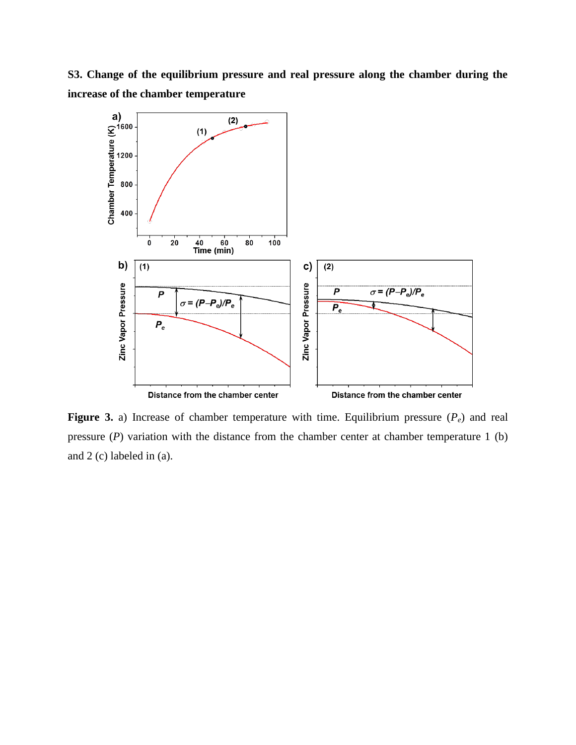**S3. Change of the equilibrium pressure and real pressure along the chamber during the increase of the chamber temperature**



**Figure 3.** a) Increase of chamber temperature with time. Equilibrium pressure (*Pe*) and real pressure (*P*) variation with the distance from the chamber center at chamber temperature 1 (b) and 2 (c) labeled in (a).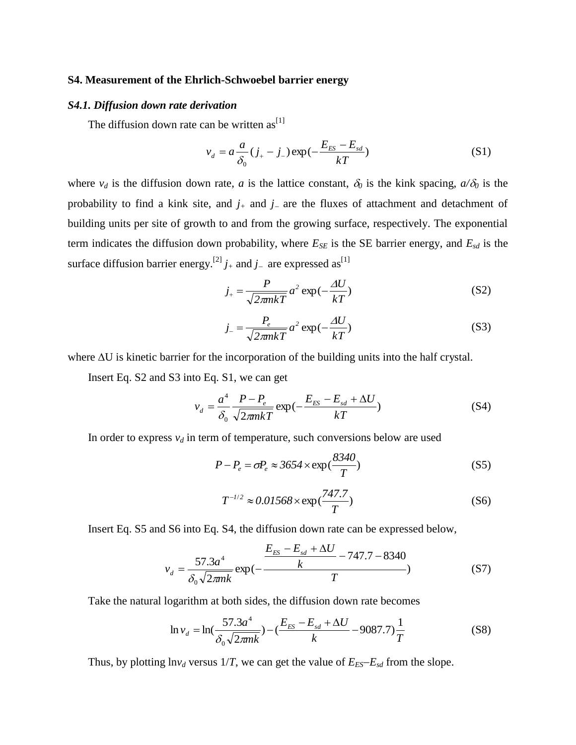#### **S4. Measurement of the Ehrlich-Schwoebel barrier energy**

#### *S4.1. Diffusion down rate derivation*

The diffusion down rate can be written  $as^{[1]}$  $as^{[1]}$  $as^{[1]}$ 

$$
v_d = a \frac{a}{\delta_0} (j_+ - j_-) \exp(-\frac{E_{ES} - E_{sd}}{kT})
$$
 (S1)

where  $v_d$  is the diffusion down rate, *a* is the lattice constant,  $\delta_0$  is the kink spacing,  $a/\delta_0$  is the probability to find a kink site, and  $j<sub>+</sub>$  and  $j<sub>-</sub>$  are the fluxes of attachment and detachment of building units per site of growth to and from the growing surface, respectively. The exponential term indicates the diffusion down probability, where  $E_{SE}$  is the SE barrier energy, and  $E_{sd}$  is the surface diffusion barrier energy.<sup>[\[2\]](#page-6-1)</sup>  $j_+$  and  $j_-$  are expressed as<sup>[\[1\]](#page-6-0)</sup>

$$
j_{+} = \frac{P}{\sqrt{2\pi n kT}} a^2 \exp(-\frac{\Delta U}{kT})
$$
 (S2)

$$
j_{-} = \frac{P_e}{\sqrt{2\pi n kT}} a^2 \exp(-\frac{\Delta U}{kT})
$$
 (S3)

where  $\Delta U$  is kinetic barrier for the incorporation of the building units into the half crystal.

Insert Eq. S2 and S3 into Eq. S1, we can get

$$
v_d = \frac{a^4}{\delta_0} \frac{P - P_e}{\sqrt{2\pi mkT}} \exp\left(-\frac{E_{ES} - E_{sd} + \Delta U}{kT}\right)
$$
(S4)

In order to express  $v_d$  in term of temperature, such conversions below are used

$$
P - P_e = \sigma P_e \approx 3654 \times \exp(\frac{8340}{T})
$$
 (S5)

$$
T^{-1/2} \approx 0.01568 \times \exp(\frac{747.7}{T})
$$
 (S6)

Insert Eq. S5 and S6 into Eq. S4, the diffusion down rate can be expressed below,

$$
v_d = \frac{57.3a^4}{\delta_0 \sqrt{2\pi n k}} \exp(-\frac{\frac{E_{ES} - E_{sd} + \Delta U}{k} - 747.7 - 8340}{T})
$$
(S7)

Take the natural logarithm at both sides, the diffusion down rate becomes

$$
\ln v_d = \ln(\frac{57.3a^4}{\delta_0 \sqrt{2\pi n k}}) - (\frac{E_{ES} - E_{sd} + \Delta U}{k} - 9087.7) \frac{1}{T}
$$
(S8)

Thus, by plotting  $\ln v_d$  versus 1/*T*, we can get the value of  $E_{ES} - E_{sd}$  from the slope.